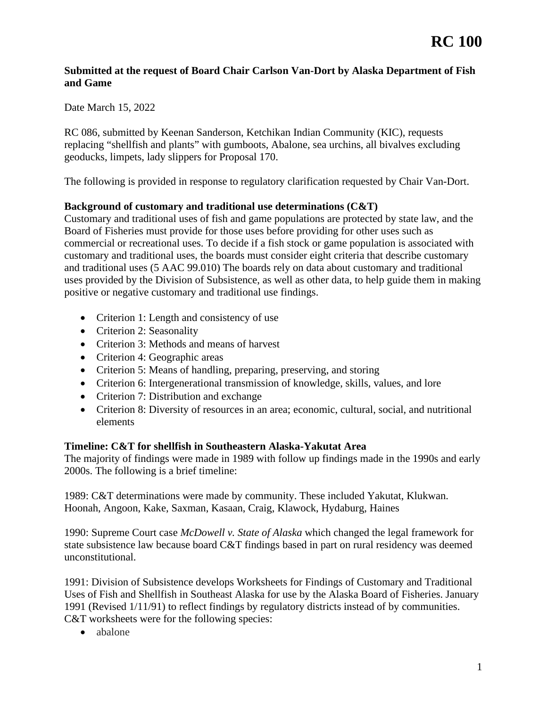### **Submitted at the request of Board Chair Carlson Van-Dort by Alaska Department of Fish and Game**

Date March 15, 2022

 replacing "shellfish and plants" with gumboots, Abalone, sea urchins, all bivalves excluding RC 086, submitted by Keenan Sanderson, Ketchikan Indian Community (KIC), requests geoducks, limpets, lady slippers for Proposal 170.

The following is provided in response to regulatory clarification requested by Chair Van-Dort.

## **Background of customary and traditional use determinations (C&T)**

Customary and traditional uses of fish and game populations are protected by state law, and the Board of Fisheries must provide for those uses before providing for other uses such as commercial or recreational uses. To decide if a fish stock or game population is associated with customary and traditional uses, the boards must consider eight criteria that describe customary and traditional uses (5 AAC 99.010) The boards rely on data about customary and traditional uses provided by the Division of Subsistence, as well as other data, to help guide them in making positive or negative customary and traditional use findings.

- Criterion 1: Length and consistency of use
- Criterion 2: Seasonality
- Criterion 3: Methods and means of harvest
- Criterion 4: Geographic areas
- Criterion 5: Means of handling, preparing, preserving, and storing
- Criterion 6: Intergenerational transmission of knowledge, skills, values, and lore
- Criterion 7: Distribution and exchange
- Criterion 8: Diversity of resources in an area; economic, cultural, social, and nutritional elements

### **Timeline: C&T for shellfish in Southeastern Alaska-Yakutat Area**

The majority of findings were made in 1989 with follow up findings made in the 1990s and early 2000s. The following is a brief timeline:

1989: C&T determinations were made by community. These included Yakutat, Klukwan. Hoonah, Angoon, Kake, Saxman, Kasaan, Craig, Klawock, Hydaburg, Haines

 1990: Supreme Court case *McDowell v. State of Alaska* which changed the legal framework for state subsistence law because board C&T findings based in part on rural residency was deemed unconstitutional.

 1991: Division of Subsistence develops Worksheets for Findings of Customary and Traditional 1991 (Revised 1/11/91) to reflect findings by regulatory districts instead of by communities. Uses of Fish and Shellfish in Southeast Alaska for use by the Alaska Board of Fisheries. January C&T worksheets were for the following species:

• abalone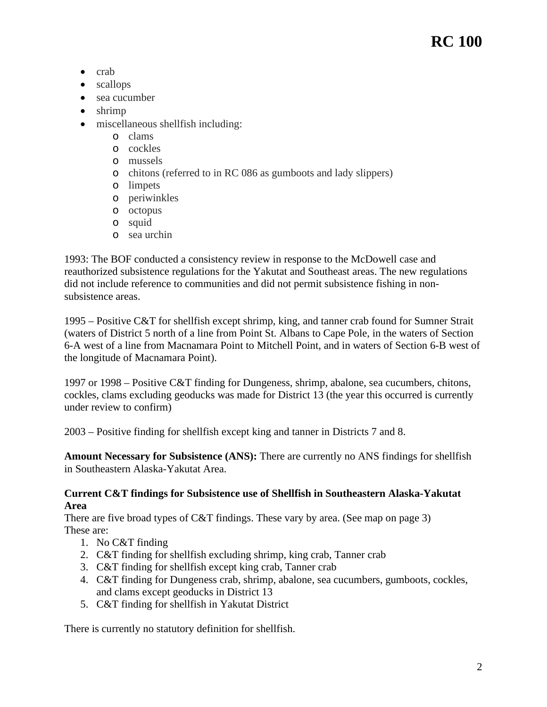# **RC 100**

- crab
- scallops
- sea cucumber
- shrimp
- miscellaneous shellfish including:
	- o clams
	- o cockles
	- o mussels
	- o chitons (referred to in RC 086 as gumboots and lady slippers)
	- o limpets
	- o periwinkles
	- o octopus
	- o squid
	- o sea urchin

 1993: The BOF conducted a consistency review in response to the McDowell case and reauthorized subsistence regulations for the Yakutat and Southeast areas. The new regulations did not include reference to communities and did not permit subsistence fishing in nonsubsistence areas.

1995 – Positive C&T for shellfish except shrimp, king, and tanner crab found for Sumner Strait (waters of District 5 north of a line from Point St. Albans to Cape Pole, in the waters of Section 6-A west of a line from Macnamara Point to Mitchell Point, and in waters of Section 6-B west of the longitude of Macnamara Point).

 under review to confirm) 1997 or 1998 – Positive C&T finding for Dungeness, shrimp, abalone, sea cucumbers, chitons, cockles, clams excluding geoducks was made for District 13 (the year this occurred is currently

2003 – Positive finding for shellfish except king and tanner in Districts 7 and 8.

**Amount Necessary for Subsistence (ANS):** There are currently no ANS findings for shellfish in Southeastern Alaska-Yakutat Area.

### **Current C&T findings for Subsistence use of Shellfish in Southeastern Alaska-Yakutat Area**

There are five broad types of C&T findings. These vary by area. (See map on page 3) These are:

- 1. No C&T finding
- 2. C&T finding for shellfish excluding shrimp, king crab, Tanner crab
- 3. C&T finding for shellfish except king crab, Tanner crab
- 4. C&T finding for Dungeness crab, shrimp, abalone, sea cucumbers, gumboots, cockles, and clams except geoducks in District 13
- 5. C&T finding for shellfish in Yakutat District

There is currently no statutory definition for shellfish.<br>
2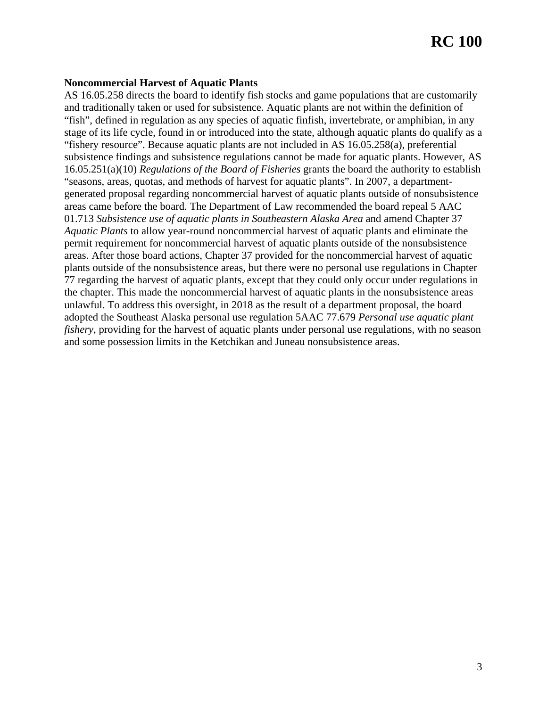### **Noncommercial Harvest of Aquatic Plants**

 16.05.251(a)(10) *Regulations of the Board of Fisheries* grants the board the authority to establish areas. After those board actions, Chapter 37 provided for the noncommercial harvest of aquatic AS 16.05.258 directs the board to identify fish stocks and game populations that are customarily and traditionally taken or used for subsistence. Aquatic plants are not within the definition of "fish", defined in regulation as any species of aquatic finfish, invertebrate, or amphibian, in any stage of its life cycle, found in or introduced into the state, although aquatic plants do qualify as a "fishery resource". Because aquatic plants are not included in AS 16.05.258(a), preferential subsistence findings and subsistence regulations cannot be made for aquatic plants. However, AS "seasons, areas, quotas, and methods of harvest for aquatic plants". In 2007, a departmentgenerated proposal regarding noncommercial harvest of aquatic plants outside of nonsubsistence areas came before the board. The Department of Law recommended the board repeal 5 AAC 01.713 *Subsistence use of aquatic plants in Southeastern Alaska Area* and amend Chapter 37 *Aquatic Plants* to allow year-round noncommercial harvest of aquatic plants and eliminate the permit requirement for noncommercial harvest of aquatic plants outside of the nonsubsistence plants outside of the nonsubsistence areas, but there were no personal use regulations in Chapter 77 regarding the harvest of aquatic plants, except that they could only occur under regulations in the chapter. This made the noncommercial harvest of aquatic plants in the nonsubsistence areas unlawful. To address this oversight, in 2018 as the result of a department proposal, the board adopted the Southeast Alaska personal use regulation 5AAC 77.679 *Personal use aquatic plant fishery*, providing for the harvest of aquatic plants under personal use regulations, with no season and some possession limits in the Ketchikan and Juneau nonsubsistence areas.